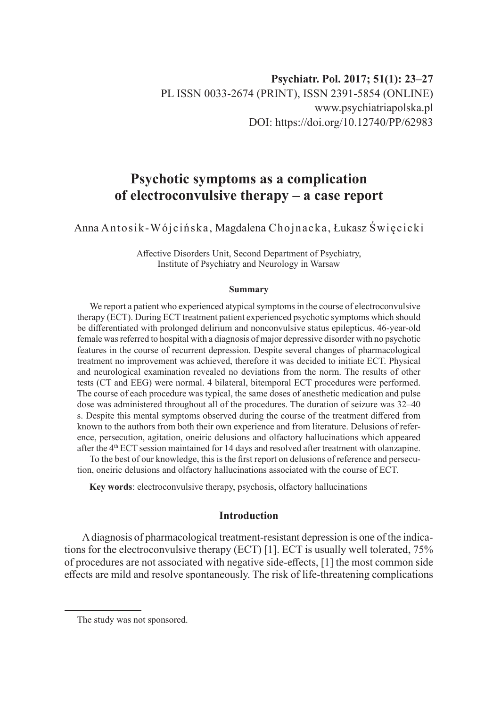# **Psychotic symptoms as a complication of electroconvulsive therapy – a case report**

Anna Antosik-Wójcińska, Magdalena Chojnacka, Łukasz Święcicki

Affective Disorders Unit, Second Department of Psychiatry, Institute of Psychiatry and Neurology in Warsaw

#### **Summary**

We report a patient who experienced atypical symptoms in the course of electroconvulsive therapy (ECT). During ECT treatment patient experienced psychotic symptoms which should be differentiated with prolonged delirium and nonconvulsive status epilepticus. 46-year-old female was referred to hospital with a diagnosis of major depressive disorder with no psychotic features in the course of recurrent depression. Despite several changes of pharmacological treatment no improvement was achieved, therefore it was decided to initiate ECT. Physical and neurological examination revealed no deviations from the norm. The results of other tests (CT and EEG) were normal. 4 bilateral, bitemporal ECT procedures were performed. The course of each procedure was typical, the same doses of anesthetic medication and pulse dose was administered throughout all of the procedures. The duration of seizure was 32–40 s. Despite this mental symptoms observed during the course of the treatment differed from known to the authors from both their own experience and from literature. Delusions of reference, persecution, agitation, oneiric delusions and olfactory hallucinations which appeared after the 4th ECT session maintained for 14 days and resolved after treatment with olanzapine.

To the best of our knowledge, this is the first report on delusions of reference and persecution, oneiric delusions and olfactory hallucinations associated with the course of ECT.

**Key words**: electroconvulsive therapy, psychosis, olfactory hallucinations

## **Introduction**

A diagnosis of pharmacological treatment-resistant depression is one of the indications for the electroconvulsive therapy (ECT) [1]. ECT is usually well tolerated, 75% of procedures are not associated with negative side-effects, [1] the most common side effects are mild and resolve spontaneously. The risk of life-threatening complications

The study was not sponsored.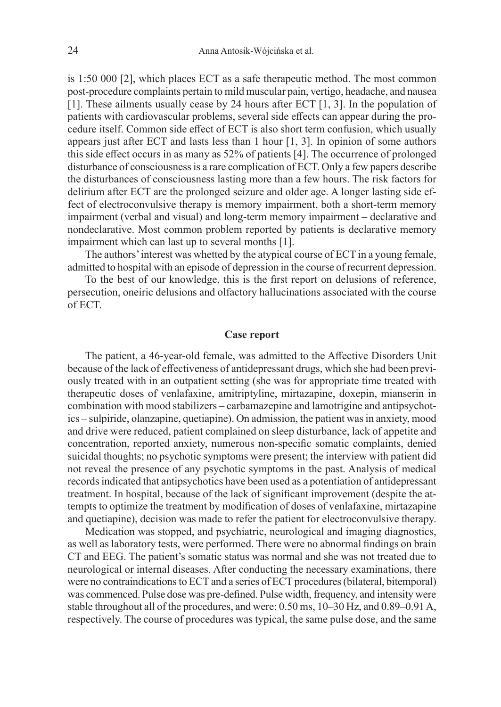is 1:50 000 [2], which places ECT as a safe therapeutic method. The most common post-procedure complaints pertain to mild muscular pain, vertigo, headache, and nausea [1]. These ailments usually cease by 24 hours after ECT [1, 3]. In the population of patients with cardiovascular problems, several side effects can appear during the procedure itself. Common side effect of ECT is also short term confusion, which usually appears just after ECT and lasts less than 1 hour [1, 3]. In opinion of some authors this side effect occurs in as many as 52% of patients [4]. The occurrence of prolonged disturbance of consciousness is a rare complication of ECT. Only a few papers describe the disturbances of consciousness lasting more than a few hours. The risk factors for delirium after ECT are the prolonged seizure and older age. A longer lasting side effect of electroconvulsive therapy is memory impairment, both a short-term memory impairment (verbal and visual) and long-term memory impairment – declarative and nondeclarative. Most common problem reported by patients is declarative memory impairment which can last up to several months [1].

The authors' interest was whetted by the atypical course of ECT in a young female, admitted to hospital with an episode of depression in the course of recurrent depression.

To the best of our knowledge, this is the first report on delusions of reference, persecution, oneiric delusions and olfactory hallucinations associated with the course of ECT.

### **Case report**

The patient, a 46-year-old female, was admitted to the Affective Disorders Unit because of the lack of effectiveness of antidepressant drugs, which she had been previously treated with in an outpatient setting (she was for appropriate time treated with therapeutic doses of venlafaxine, amitriptyline, mirtazapine, doxepin, mianserin in combination with mood stabilizers – carbamazepine and lamotrigine and antipsychotics – sulpiride, olanzapine, quetiapine). On admission, the patient was in anxiety, mood and drive were reduced, patient complained on sleep disturbance, lack of appetite and concentration, reported anxiety, numerous non-specific somatic complaints, denied suicidal thoughts; no psychotic symptoms were present; the interview with patient did not reveal the presence of any psychotic symptoms in the past. Analysis of medical records indicated that antipsychotics have been used as a potentiation of antidepressant treatment. In hospital, because of the lack of significant improvement (despite the attempts to optimize the treatment by modification of doses of venlafaxine, mirtazapine and quetiapine), decision was made to refer the patient for electroconvulsive therapy.

Medication was stopped, and psychiatric, neurological and imaging diagnostics, as well as laboratory tests, were performed. There were no abnormal findings on brain CT and EEG. The patient's somatic status was normal and she was not treated due to neurological or internal diseases. After conducting the necessary examinations, there were no contraindications to ECT and a series of ECT procedures (bilateral, bitemporal) was commenced. Pulse dose was pre-defined. Pulse width, frequency, and intensity were stable throughout all of the procedures, and were: 0.50 ms, 10–30 Hz, and 0.89–0.91 A, respectively. The course of procedures was typical, the same pulse dose, and the same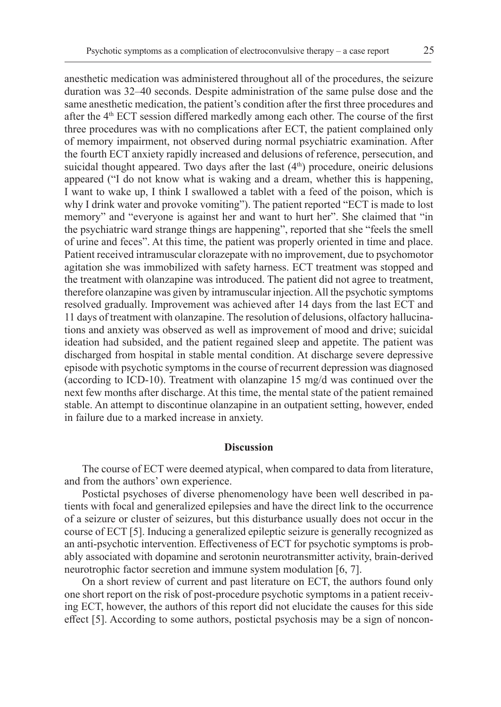anesthetic medication was administered throughout all of the procedures, the seizure duration was 32–40 seconds. Despite administration of the same pulse dose and the same anesthetic medication, the patient's condition after the first three procedures and after the  $4<sup>th</sup>$  ECT session differed markedly among each other. The course of the first three procedures was with no complications after ECT, the patient complained only of memory impairment, not observed during normal psychiatric examination. After the fourth ECT anxiety rapidly increased and delusions of reference, persecution, and suicidal thought appeared. Two days after the last  $(4<sup>th</sup>)$  procedure, oneiric delusions appeared ("I do not know what is waking and a dream, whether this is happening, I want to wake up, I think I swallowed a tablet with a feed of the poison, which is why I drink water and provoke vomiting"). The patient reported "ECT is made to lost memory" and "everyone is against her and want to hurt her". She claimed that "in the psychiatric ward strange things are happening", reported that she "feels the smell of urine and feces". At this time, the patient was properly oriented in time and place. Patient received intramuscular clorazepate with no improvement, due to psychomotor agitation she was immobilized with safety harness. ECT treatment was stopped and the treatment with olanzapine was introduced. The patient did not agree to treatment, therefore olanzapine was given by intramuscular injection. All the psychotic symptoms resolved gradually. Improvement was achieved after 14 days from the last ECT and 11 days of treatment with olanzapine. The resolution of delusions, olfactory hallucinations and anxiety was observed as well as improvement of mood and drive; suicidal ideation had subsided, and the patient regained sleep and appetite. The patient was discharged from hospital in stable mental condition. At discharge severe depressive episode with psychotic symptoms in the course of recurrent depression was diagnosed (according to ICD-10). Treatment with olanzapine 15 mg/d was continued over the next few months after discharge. At this time, the mental state of the patient remained stable. An attempt to discontinue olanzapine in an outpatient setting, however, ended in failure due to a marked increase in anxiety.

### **Discussion**

The course of ECT were deemed atypical, when compared to data from literature, and from the authors' own experience.

Postictal psychoses of diverse phenomenology have been well described in patients with focal and generalized epilepsies and have the direct link to the occurrence of a seizure or cluster of seizures, but this disturbance usually does not occur in the course of ECT [5]. Inducing a generalized epileptic seizure is generally recognized as an anti-psychotic intervention. Effectiveness of ECT for psychotic symptoms is probably associated with dopamine and serotonin neurotransmitter activity, brain-derived neurotrophic factor secretion and immune system modulation [6, 7].

On a short review of current and past literature on ECT, the authors found only one short report on the risk of post-procedure psychotic symptoms in a patient receiving ECT, however, the authors of this report did not elucidate the causes for this side effect [5]. According to some authors, postictal psychosis may be a sign of noncon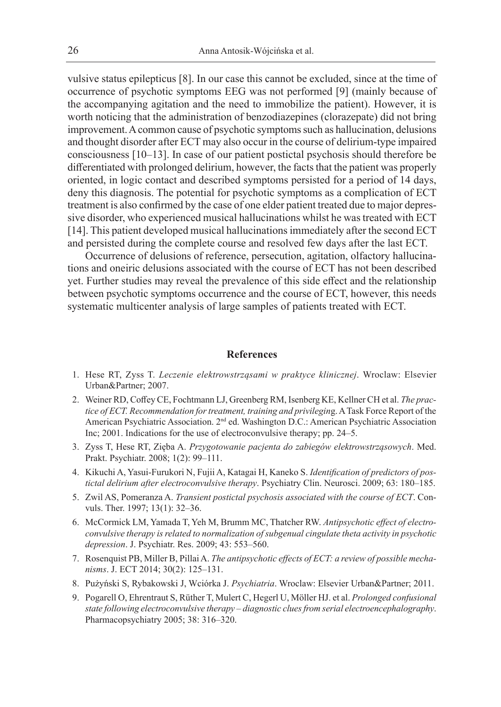vulsive status epilepticus [8]. In our case this cannot be excluded, since at the time of occurrence of psychotic symptoms EEG was not performed [9] (mainly because of the accompanying agitation and the need to immobilize the patient). However, it is worth noticing that the administration of benzodiazepines (clorazepate) did not bring improvement. A common cause of psychotic symptoms such as hallucination, delusions and thought disorder after ECT may also occur in the course of delirium-type impaired consciousness [10–13]. In case of our patient postictal psychosis should therefore be differentiated with prolonged delirium, however, the facts that the patient was properly oriented, in logic contact and described symptoms persisted for a period of 14 days, deny this diagnosis. The potential for psychotic symptoms as a complication of ECT treatment is also confirmed by the case of one elder patient treated due to major depressive disorder, who experienced musical hallucinations whilst he was treated with ECT [14]. This patient developed musical hallucinations immediately after the second ECT and persisted during the complete course and resolved few days after the last ECT.

Occurrence of delusions of reference, persecution, agitation, olfactory hallucinations and oneiric delusions associated with the course of ECT has not been described yet. Further studies may reveal the prevalence of this side effect and the relationship between psychotic symptoms occurrence and the course of ECT, however, this needs systematic multicenter analysis of large samples of patients treated with ECT.

#### **References**

- 1. Hese RT, Zyss T. *Leczenie elektrowstrząsami w praktyce klinicznej*. Wroclaw: Elsevier Urban&Partner; 2007.
- 2. Weiner RD, Coffey CE, Fochtmann LJ, Greenberg RM, Isenberg KE, Kellner CH et al. *The practice of ECT. Recommendation for treatment, training and privilegin*g. A Task Force Report of the American Psychiatric Association. 2nd ed. Washington D.C.: American Psychiatric Association Inc; 2001. Indications for the use of electroconvulsive therapy; pp. 24–5.
- 3. Zyss T, Hese RT, Zięba A. *Przygotowanie pacjenta do zabiegów elektrowstrząsowych*. Med. Prakt. Psychiatr. 2008; 1(2): 99–111.
- 4. Kikuchi A, Yasui-Furukori N, Fujii A, Katagai H, Kaneko S. *Identification of predictors of postictal delirium after electroconvulsive therapy*. Psychiatry Clin. Neurosci. 2009; 63: 180–185.
- 5. Zwil AS, Pomeranza A. *Transient postictal psychosis associated with the course of ECT*. Convuls. Ther. 1997; 13(1): 32–36.
- 6. McCormick LM, Yamada T, Yeh M, Brumm MC, Thatcher RW. *Antipsychotic effect of electroconvulsive therapy is related to normalization of subgenual cingulate theta activity in psychotic depression*. J. Psychiatr. Res. 2009; 43: 553–560.
- 7. Rosenquist PB, Miller B, Pillai A. *The antipsychotic effects of ECT: a review of possible mechanisms*. J. ECT 2014; 30(2): 125–131.
- 8. Pużyński S, Rybakowski J, Wciórka J. *Psychiatria*. Wroclaw: Elsevier Urban&Partner; 2011.
- 9. Pogarell O, Ehrentraut S, Rüther T, Mulert C, Hegerl U, Möller HJ. et al. *Prolonged confusional state following electroconvulsive therapy – diagnostic clues from serial electroencephalography*. Pharmacopsychiatry 2005; 38: 316–320.